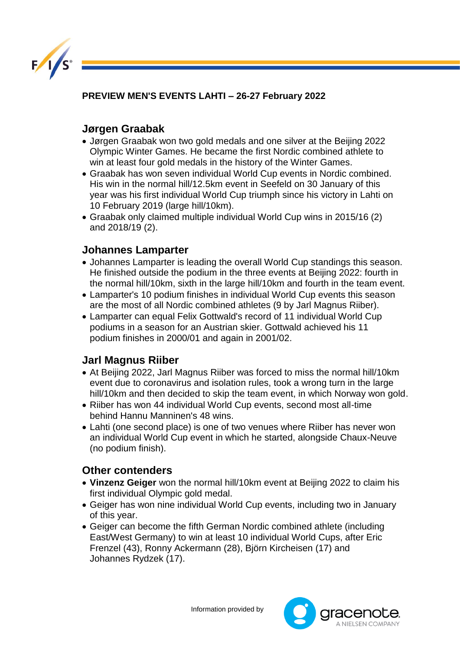

**PREVIEW MEN'S EVENTS LAHTI – 26-27 February 2022** 

### **Jørgen Graabak**

- Jørgen Graabak won two gold medals and one silver at the Beijing 2022 Olympic Winter Games. He became the first Nordic combined athlete to win at least four gold medals in the history of the Winter Games.
- Graabak has won seven individual World Cup events in Nordic combined. His win in the normal hill/12.5km event in Seefeld on 30 January of this year was his first individual World Cup triumph since his victory in Lahti on 10 February 2019 (large hill/10km).
- Graabak only claimed multiple individual World Cup wins in 2015/16 (2) and 2018/19 (2).

## **Johannes Lamparter**

- Johannes Lamparter is leading the overall World Cup standings this season. He finished outside the podium in the three events at Beijing 2022: fourth in the normal hill/10km, sixth in the large hill/10km and fourth in the team event.
- Lamparter's 10 podium finishes in individual World Cup events this season are the most of all Nordic combined athletes (9 by Jarl Magnus Riiber).
- Lamparter can equal Felix Gottwald's record of 11 individual World Cup podiums in a season for an Austrian skier. Gottwald achieved his 11 podium finishes in 2000/01 and again in 2001/02.

# **Jarl Magnus Riiber**

- At Beijing 2022, Jarl Magnus Riiber was forced to miss the normal hill/10km event due to coronavirus and isolation rules, took a wrong turn in the large hill/10km and then decided to skip the team event, in which Norway won gold.
- Riiber has won 44 individual World Cup events, second most all-time behind Hannu Manninen's 48 wins.
- Lahti (one second place) is one of two venues where Riiber has never won an individual World Cup event in which he started, alongside Chaux-Neuve (no podium finish).

### **Other contenders**

- **Vinzenz Geiger** won the normal hill/10km event at Beijing 2022 to claim his first individual Olympic gold medal.
- Geiger has won nine individual World Cup events, including two in January of this year.
- Geiger can become the fifth German Nordic combined athlete (including East/West Germany) to win at least 10 individual World Cups, after Eric Frenzel (43), Ronny Ackermann (28), Björn Kircheisen (17) and Johannes Rydzek (17).

Information provided by